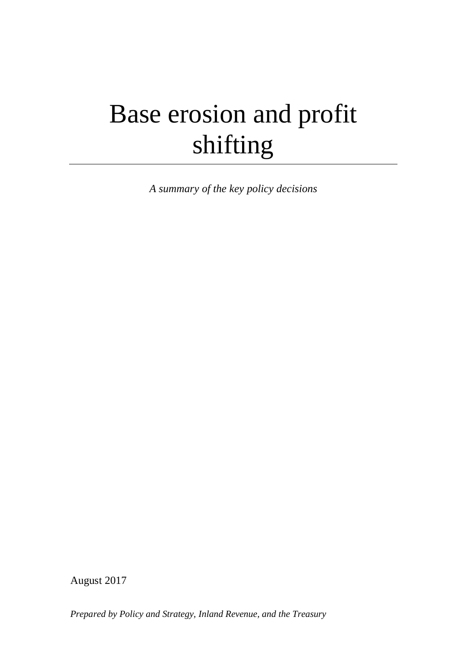# Base erosion and profit shifting

*A summary of the key policy decisions*

August 2017

*Prepared by Policy and Strategy, Inland Revenue, and the Treasury*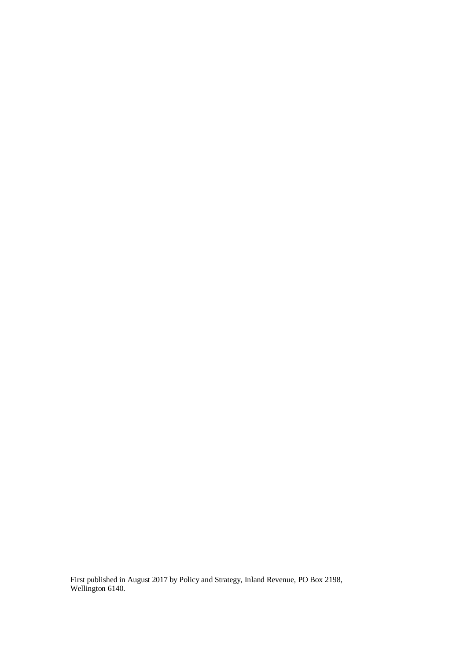First published in August 2017 by Policy and Strategy, Inland Revenue, PO Box 2198, Wellington 6140.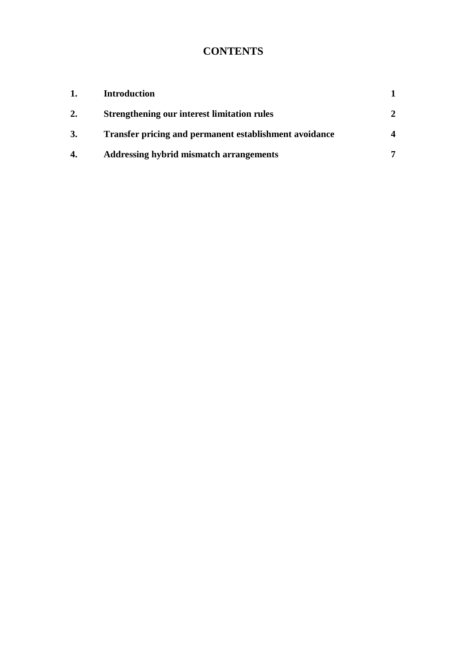# **CONTENTS**

| 1. | <b>Introduction</b>                                    |  |
|----|--------------------------------------------------------|--|
| 2. | <b>Strengthening our interest limitation rules</b>     |  |
| 3. | Transfer pricing and permanent establishment avoidance |  |
| 4. | <b>Addressing hybrid mismatch arrangements</b>         |  |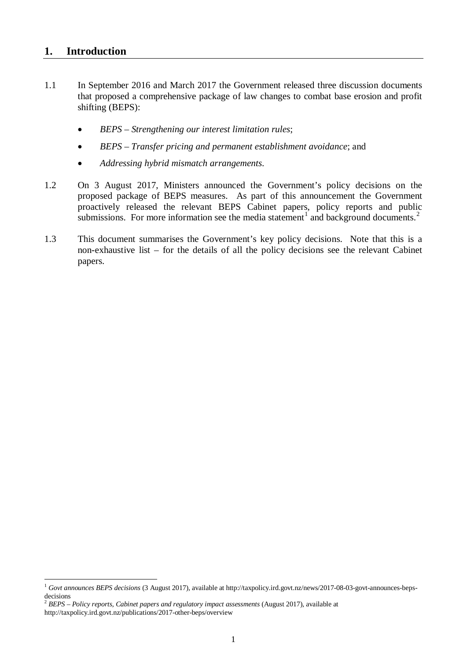#### <span id="page-3-0"></span>**1. Introduction**

<u>.</u>

- 1.1 In September 2016 and March 2017 the Government released three discussion documents that proposed a comprehensive package of law changes to combat base erosion and profit shifting (BEPS):
	- *BEPS – Strengthening our interest limitation rules*;
	- *BEPS – Transfer pricing and permanent establishment avoidance*; and
	- *Addressing hybrid mismatch arrangements*.
- 1.2 On 3 August 2017, Ministers announced the Government's policy decisions on the proposed package of BEPS measures. As part of this announcement the Government proactively released the relevant BEPS Cabinet papers, policy reports and public submissions. For more information see the media statement<sup>[1](#page-3-1)</sup> and background documents.<sup>[2](#page-3-2)</sup>
- 1.3 This document summarises the Government's key policy decisions. Note that this is a non-exhaustive list – for the details of all the policy decisions see the relevant Cabinet papers.

<span id="page-3-1"></span><sup>1</sup> *Govt announces BEPS decisions* (3 August 2017), available at http://taxpolicy.ird.govt.nz/news/2017-08-03-govt-announces-bepsdecisions

<span id="page-3-2"></span><sup>2</sup> *BEPS – Policy reports, Cabinet papers and regulatory impact assessments* (August 2017), available at http://taxpolicy.ird.govt.nz/publications/2017-other-beps/overview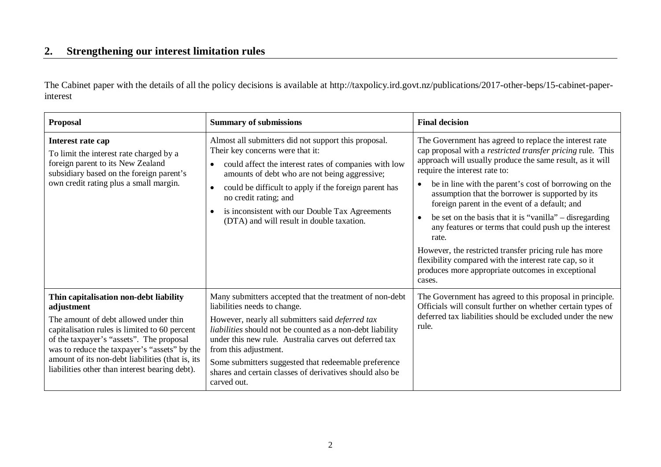# **2. Strengthening our interest limitation rules**

The Cabinet paper with the details of all the policy decisions is available at http://taxpolicy.ird.govt.nz/publications/2017-other-beps/15-cabinet-paperinterest

<span id="page-4-0"></span>

| <b>Proposal</b>                                                                                                                                                                                                                                                                                                                                  | <b>Summary of submissions</b>                                                                                                                                                                                                                                                                                                                                                                                                  | <b>Final decision</b>                                                                                                                                                                                                                                                                                                                                                                                                                                                                                                                                                                                                                                                                                                               |
|--------------------------------------------------------------------------------------------------------------------------------------------------------------------------------------------------------------------------------------------------------------------------------------------------------------------------------------------------|--------------------------------------------------------------------------------------------------------------------------------------------------------------------------------------------------------------------------------------------------------------------------------------------------------------------------------------------------------------------------------------------------------------------------------|-------------------------------------------------------------------------------------------------------------------------------------------------------------------------------------------------------------------------------------------------------------------------------------------------------------------------------------------------------------------------------------------------------------------------------------------------------------------------------------------------------------------------------------------------------------------------------------------------------------------------------------------------------------------------------------------------------------------------------------|
| Interest rate cap<br>To limit the interest rate charged by a<br>foreign parent to its New Zealand<br>subsidiary based on the foreign parent's<br>own credit rating plus a small margin.                                                                                                                                                          | Almost all submitters did not support this proposal.<br>Their key concerns were that it:<br>could affect the interest rates of companies with low<br>$\bullet$<br>amounts of debt who are not being aggressive;<br>could be difficult to apply if the foreign parent has<br>$\bullet$<br>no credit rating; and<br>is inconsistent with our Double Tax Agreements<br>$\bullet$<br>(DTA) and will result in double taxation.     | The Government has agreed to replace the interest rate<br>cap proposal with a <i>restricted transfer pricing</i> rule. This<br>approach will usually produce the same result, as it will<br>require the interest rate to:<br>be in line with the parent's cost of borrowing on the<br>$\bullet$<br>assumption that the borrower is supported by its<br>foreign parent in the event of a default; and<br>be set on the basis that it is "vanilla" $-$ disregarding<br>$\bullet$<br>any features or terms that could push up the interest<br>rate.<br>However, the restricted transfer pricing rule has more<br>flexibility compared with the interest rate cap, so it<br>produces more appropriate outcomes in exceptional<br>cases. |
| Thin capitalisation non-debt liability<br>adjustment<br>The amount of debt allowed under thin<br>capitalisation rules is limited to 60 percent<br>of the taxpayer's "assets". The proposal<br>was to reduce the taxpayer's "assets" by the<br>amount of its non-debt liabilities (that is, its<br>liabilities other than interest bearing debt). | Many submitters accepted that the treatment of non-debt<br>liabilities needs to change.<br>However, nearly all submitters said deferred tax<br>liabilities should not be counted as a non-debt liability<br>under this new rule. Australia carves out deferred tax<br>from this adjustment.<br>Some submitters suggested that redeemable preference<br>shares and certain classes of derivatives should also be<br>carved out. | The Government has agreed to this proposal in principle.<br>Officials will consult further on whether certain types of<br>deferred tax liabilities should be excluded under the new<br>rule.                                                                                                                                                                                                                                                                                                                                                                                                                                                                                                                                        |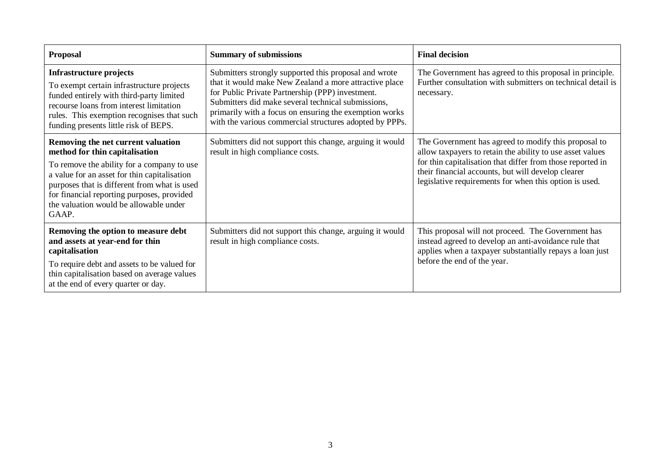| <b>Proposal</b>                                                                                                                                                                                                                                                                                                     | <b>Summary of submissions</b>                                                                                                                                                                                                                                                                                                                  | <b>Final decision</b>                                                                                                                                                                                                                                                                           |
|---------------------------------------------------------------------------------------------------------------------------------------------------------------------------------------------------------------------------------------------------------------------------------------------------------------------|------------------------------------------------------------------------------------------------------------------------------------------------------------------------------------------------------------------------------------------------------------------------------------------------------------------------------------------------|-------------------------------------------------------------------------------------------------------------------------------------------------------------------------------------------------------------------------------------------------------------------------------------------------|
| <b>Infrastructure projects</b><br>To exempt certain infrastructure projects<br>funded entirely with third-party limited<br>recourse loans from interest limitation<br>rules. This exemption recognises that such<br>funding presents little risk of BEPS.                                                           | Submitters strongly supported this proposal and wrote<br>that it would make New Zealand a more attractive place<br>for Public Private Partnership (PPP) investment.<br>Submitters did make several technical submissions,<br>primarily with a focus on ensuring the exemption works<br>with the various commercial structures adopted by PPPs. | The Government has agreed to this proposal in principle.<br>Further consultation with submitters on technical detail is<br>necessary.                                                                                                                                                           |
| Removing the net current valuation<br>method for thin capitalisation<br>To remove the ability for a company to use<br>a value for an asset for thin capitalisation<br>purposes that is different from what is used<br>for financial reporting purposes, provided<br>the valuation would be allowable under<br>GAAP. | Submitters did not support this change, arguing it would<br>result in high compliance costs.                                                                                                                                                                                                                                                   | The Government has agreed to modify this proposal to<br>allow taxpayers to retain the ability to use asset values<br>for thin capitalisation that differ from those reported in<br>their financial accounts, but will develop clearer<br>legislative requirements for when this option is used. |
| Removing the option to measure debt<br>and assets at year-end for thin<br>capitalisation<br>To require debt and assets to be valued for<br>thin capitalisation based on average values<br>at the end of every quarter or day.                                                                                       | Submitters did not support this change, arguing it would<br>result in high compliance costs.                                                                                                                                                                                                                                                   | This proposal will not proceed. The Government has<br>instead agreed to develop an anti-avoidance rule that<br>applies when a taxpayer substantially repays a loan just<br>before the end of the year.                                                                                          |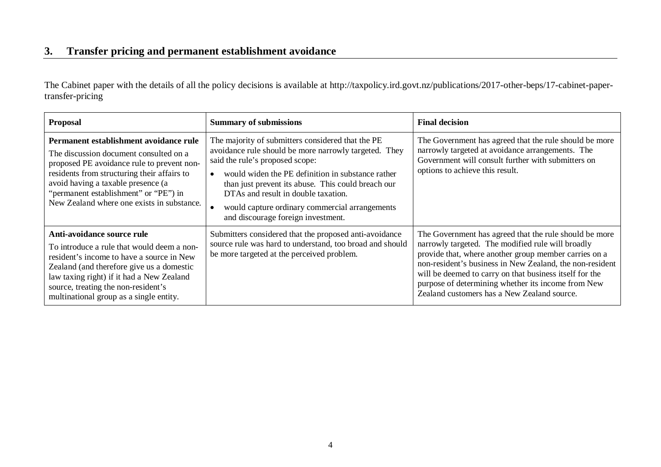# **3. Transfer pricing and permanent establishment avoidance**

The Cabinet paper with the details of all the policy decisions is available at http://taxpolicy.ird.govt.nz/publications/2017-other-beps/17-cabinet-papertransfer-pricing

<span id="page-6-0"></span>

| <b>Proposal</b>                                                                                                                                                                                                                                                                                            | <b>Summary of submissions</b>                                                                                                                                                                                                                                                                                                                                                           | <b>Final decision</b>                                                                                                                                                                                                                                                                                                                                                                            |
|------------------------------------------------------------------------------------------------------------------------------------------------------------------------------------------------------------------------------------------------------------------------------------------------------------|-----------------------------------------------------------------------------------------------------------------------------------------------------------------------------------------------------------------------------------------------------------------------------------------------------------------------------------------------------------------------------------------|--------------------------------------------------------------------------------------------------------------------------------------------------------------------------------------------------------------------------------------------------------------------------------------------------------------------------------------------------------------------------------------------------|
| Permanent establishment avoidance rule<br>The discussion document consulted on a<br>proposed PE avoidance rule to prevent non-<br>residents from structuring their affairs to<br>avoid having a taxable presence (a<br>"permanent establishment" or "PE") in<br>New Zealand where one exists in substance. | The majority of submitters considered that the PE<br>avoidance rule should be more narrowly targeted. They<br>said the rule's proposed scope:<br>would widen the PE definition in substance rather<br>than just prevent its abuse. This could breach our<br>DTAs and result in double taxation.<br>would capture ordinary commercial arrangements<br>and discourage foreign investment. | The Government has agreed that the rule should be more<br>narrowly targeted at avoidance arrangements. The<br>Government will consult further with submitters on<br>options to achieve this result.                                                                                                                                                                                              |
| Anti-avoidance source rule<br>To introduce a rule that would deem a non-<br>resident's income to have a source in New<br>Zealand (and therefore give us a domestic<br>law taxing right) if it had a New Zealand<br>source, treating the non-resident's<br>multinational group as a single entity.          | Submitters considered that the proposed anti-avoidance<br>source rule was hard to understand, too broad and should<br>be more targeted at the perceived problem.                                                                                                                                                                                                                        | The Government has agreed that the rule should be more<br>narrowly targeted. The modified rule will broadly<br>provide that, where another group member carries on a<br>non-resident's business in New Zealand, the non-resident<br>will be deemed to carry on that business itself for the<br>purpose of determining whether its income from New<br>Zealand customers has a New Zealand source. |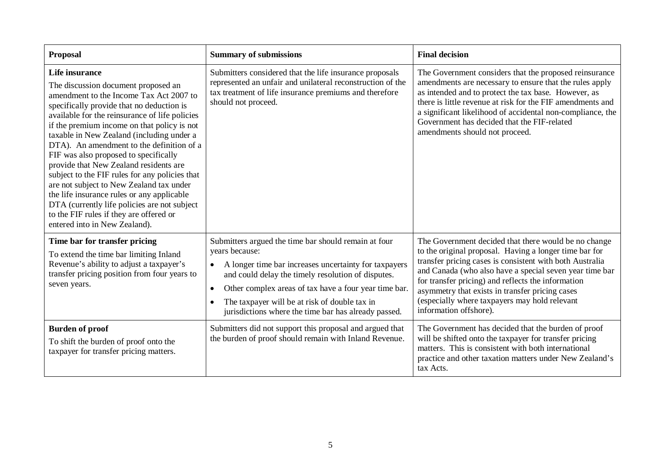| <b>Proposal</b>                                                                                                                                                                                                                                                                                                                                                                                                                                                                                                                                                                                                                                                                                     | <b>Summary of submissions</b>                                                                                                                                                                                                                                                                                                                                                     | <b>Final decision</b>                                                                                                                                                                                                                                                                                                                                                                                                     |
|-----------------------------------------------------------------------------------------------------------------------------------------------------------------------------------------------------------------------------------------------------------------------------------------------------------------------------------------------------------------------------------------------------------------------------------------------------------------------------------------------------------------------------------------------------------------------------------------------------------------------------------------------------------------------------------------------------|-----------------------------------------------------------------------------------------------------------------------------------------------------------------------------------------------------------------------------------------------------------------------------------------------------------------------------------------------------------------------------------|---------------------------------------------------------------------------------------------------------------------------------------------------------------------------------------------------------------------------------------------------------------------------------------------------------------------------------------------------------------------------------------------------------------------------|
| Life insurance<br>The discussion document proposed an<br>amendment to the Income Tax Act 2007 to<br>specifically provide that no deduction is<br>available for the reinsurance of life policies<br>if the premium income on that policy is not<br>taxable in New Zealand (including under a<br>DTA). An amendment to the definition of a<br>FIF was also proposed to specifically<br>provide that New Zealand residents are<br>subject to the FIF rules for any policies that<br>are not subject to New Zealand tax under<br>the life insurance rules or any applicable<br>DTA (currently life policies are not subject<br>to the FIF rules if they are offered or<br>entered into in New Zealand). | Submitters considered that the life insurance proposals<br>represented an unfair and unilateral reconstruction of the<br>tax treatment of life insurance premiums and therefore<br>should not proceed.                                                                                                                                                                            | The Government considers that the proposed reinsurance<br>amendments are necessary to ensure that the rules apply<br>as intended and to protect the tax base. However, as<br>there is little revenue at risk for the FIF amendments and<br>a significant likelihood of accidental non-compliance, the<br>Government has decided that the FIF-related<br>amendments should not proceed.                                    |
| Time bar for transfer pricing<br>To extend the time bar limiting Inland<br>Revenue's ability to adjust a taxpayer's<br>transfer pricing position from four years to<br>seven years.                                                                                                                                                                                                                                                                                                                                                                                                                                                                                                                 | Submitters argued the time bar should remain at four<br>years because:<br>A longer time bar increases uncertainty for taxpayers<br>$\bullet$<br>and could delay the timely resolution of disputes.<br>Other complex areas of tax have a four year time bar.<br>$\bullet$<br>The taxpayer will be at risk of double tax in<br>jurisdictions where the time bar has already passed. | The Government decided that there would be no change<br>to the original proposal. Having a longer time bar for<br>transfer pricing cases is consistent with both Australia<br>and Canada (who also have a special seven year time bar<br>for transfer pricing) and reflects the information<br>asymmetry that exists in transfer pricing cases<br>(especially where taxpayers may hold relevant<br>information offshore). |
| <b>Burden of proof</b><br>To shift the burden of proof onto the<br>taxpayer for transfer pricing matters.                                                                                                                                                                                                                                                                                                                                                                                                                                                                                                                                                                                           | Submitters did not support this proposal and argued that<br>the burden of proof should remain with Inland Revenue.                                                                                                                                                                                                                                                                | The Government has decided that the burden of proof<br>will be shifted onto the taxpayer for transfer pricing<br>matters. This is consistent with both international<br>practice and other taxation matters under New Zealand's<br>tax Acts.                                                                                                                                                                              |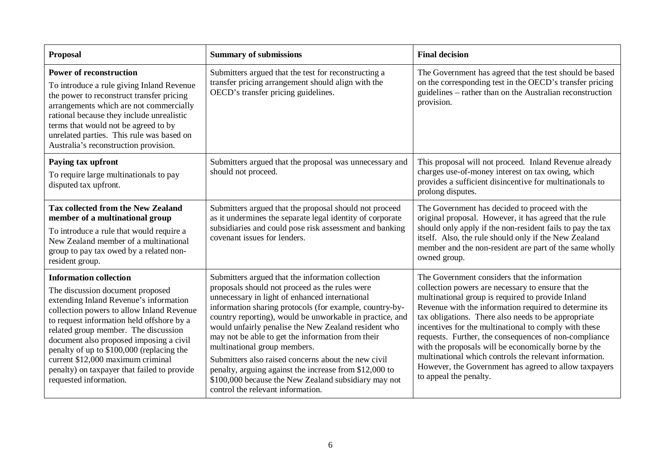| <b>Proposal</b>                                                                                                                                                                                                                                                                                                                                                                                                                                     | <b>Summary of submissions</b>                                                                                                                                                                                                                                                                                                                                                                                                                                                                                                                                                                                                           | <b>Final decision</b>                                                                                                                                                                                                                                                                                                                                                                                                                                                                                                                                                                            |
|-----------------------------------------------------------------------------------------------------------------------------------------------------------------------------------------------------------------------------------------------------------------------------------------------------------------------------------------------------------------------------------------------------------------------------------------------------|-----------------------------------------------------------------------------------------------------------------------------------------------------------------------------------------------------------------------------------------------------------------------------------------------------------------------------------------------------------------------------------------------------------------------------------------------------------------------------------------------------------------------------------------------------------------------------------------------------------------------------------------|--------------------------------------------------------------------------------------------------------------------------------------------------------------------------------------------------------------------------------------------------------------------------------------------------------------------------------------------------------------------------------------------------------------------------------------------------------------------------------------------------------------------------------------------------------------------------------------------------|
| <b>Power of reconstruction</b><br>To introduce a rule giving Inland Revenue<br>the power to reconstruct transfer pricing<br>arrangements which are not commercially<br>rational because they include unrealistic<br>terms that would not be agreed to by<br>unrelated parties. This rule was based on<br>Australia's reconstruction provision.                                                                                                      | Submitters argued that the test for reconstructing a<br>transfer pricing arrangement should align with the<br>OECD's transfer pricing guidelines.                                                                                                                                                                                                                                                                                                                                                                                                                                                                                       | The Government has agreed that the test should be based<br>on the corresponding test in the OECD's transfer pricing<br>guidelines – rather than on the Australian reconstruction<br>provision.                                                                                                                                                                                                                                                                                                                                                                                                   |
| Paying tax upfront<br>To require large multinationals to pay<br>disputed tax upfront.                                                                                                                                                                                                                                                                                                                                                               | Submitters argued that the proposal was unnecessary and<br>should not proceed.                                                                                                                                                                                                                                                                                                                                                                                                                                                                                                                                                          | This proposal will not proceed. Inland Revenue already<br>charges use-of-money interest on tax owing, which<br>provides a sufficient disincentive for multinationals to<br>prolong disputes.                                                                                                                                                                                                                                                                                                                                                                                                     |
| <b>Tax collected from the New Zealand</b><br>member of a multinational group<br>To introduce a rule that would require a<br>New Zealand member of a multinational<br>group to pay tax owed by a related non-<br>resident group.                                                                                                                                                                                                                     | Submitters argued that the proposal should not proceed<br>as it undermines the separate legal identity of corporate<br>subsidiaries and could pose risk assessment and banking<br>covenant issues for lenders.                                                                                                                                                                                                                                                                                                                                                                                                                          | The Government has decided to proceed with the<br>original proposal. However, it has agreed that the rule<br>should only apply if the non-resident fails to pay the tax<br>itself. Also, the rule should only if the New Zealand<br>member and the non-resident are part of the same wholly<br>owned group.                                                                                                                                                                                                                                                                                      |
| <b>Information collection</b><br>The discussion document proposed<br>extending Inland Revenue's information<br>collection powers to allow Inland Revenue<br>to request information held offshore by a<br>related group member. The discussion<br>document also proposed imposing a civil<br>penalty of up to \$100,000 (replacing the<br>current \$12,000 maximum criminal<br>penalty) on taxpayer that failed to provide<br>requested information. | Submitters argued that the information collection<br>proposals should not proceed as the rules were<br>unnecessary in light of enhanced international<br>information sharing protocols (for example, country-by-<br>country reporting), would be unworkable in practice, and<br>would unfairly penalise the New Zealand resident who<br>may not be able to get the information from their<br>multinational group members.<br>Submitters also raised concerns about the new civil<br>penalty, arguing against the increase from \$12,000 to<br>\$100,000 because the New Zealand subsidiary may not<br>control the relevant information. | The Government considers that the information<br>collection powers are necessary to ensure that the<br>multinational group is required to provide Inland<br>Revenue with the information required to determine its<br>tax obligations. There also needs to be appropriate<br>incentives for the multinational to comply with these<br>requests. Further, the consequences of non-compliance<br>with the proposals will be economically borne by the<br>multinational which controls the relevant information.<br>However, the Government has agreed to allow taxpayers<br>to appeal the penalty. |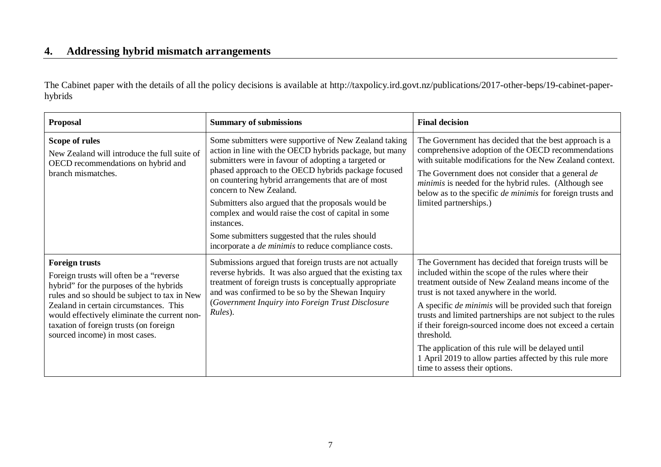# **4. Addressing hybrid mismatch arrangements**

The Cabinet paper with the details of all the policy decisions is available at http://taxpolicy.ird.govt.nz/publications/2017-other-beps/19-cabinet-paperhybrids

<span id="page-9-0"></span>

| <b>Proposal</b>                                                                                                                                                                                                                                                                                                                    | <b>Summary of submissions</b>                                                                                                                                                                                                                                                                                                                                                                                                                                                                                                                               | <b>Final decision</b>                                                                                                                                                                                                                                                                                                                                                                                                                                                                                                                                                              |
|------------------------------------------------------------------------------------------------------------------------------------------------------------------------------------------------------------------------------------------------------------------------------------------------------------------------------------|-------------------------------------------------------------------------------------------------------------------------------------------------------------------------------------------------------------------------------------------------------------------------------------------------------------------------------------------------------------------------------------------------------------------------------------------------------------------------------------------------------------------------------------------------------------|------------------------------------------------------------------------------------------------------------------------------------------------------------------------------------------------------------------------------------------------------------------------------------------------------------------------------------------------------------------------------------------------------------------------------------------------------------------------------------------------------------------------------------------------------------------------------------|
| Scope of rules<br>New Zealand will introduce the full suite of<br>OECD recommendations on hybrid and<br>branch mismatches.                                                                                                                                                                                                         | Some submitters were supportive of New Zealand taking<br>action in line with the OECD hybrids package, but many<br>submitters were in favour of adopting a targeted or<br>phased approach to the OECD hybrids package focused<br>on countering hybrid arrangements that are of most<br>concern to New Zealand.<br>Submitters also argued that the proposals would be<br>complex and would raise the cost of capital in some<br>instances.<br>Some submitters suggested that the rules should<br>incorporate a <i>de minimis</i> to reduce compliance costs. | The Government has decided that the best approach is a<br>comprehensive adoption of the OECD recommendations<br>with suitable modifications for the New Zealand context.<br>The Government does not consider that a general de<br>minimis is needed for the hybrid rules. (Although see<br>below as to the specific <i>de minimis</i> for foreign trusts and<br>limited partnerships.)                                                                                                                                                                                             |
| <b>Foreign trusts</b><br>Foreign trusts will often be a "reverse"<br>hybrid" for the purposes of the hybrids<br>rules and so should be subject to tax in New<br>Zealand in certain circumstances. This<br>would effectively eliminate the current non-<br>taxation of foreign trusts (on foreign<br>sourced income) in most cases. | Submissions argued that foreign trusts are not actually<br>reverse hybrids. It was also argued that the existing tax<br>treatment of foreign trusts is conceptually appropriate<br>and was confirmed to be so by the Shewan Inquiry<br>(Government Inquiry into Foreign Trust Disclosure<br>Rules).                                                                                                                                                                                                                                                         | The Government has decided that foreign trusts will be<br>included within the scope of the rules where their<br>treatment outside of New Zealand means income of the<br>trust is not taxed anywhere in the world.<br>A specific <i>de minimis</i> will be provided such that foreign<br>trusts and limited partnerships are not subject to the rules<br>if their foreign-sourced income does not exceed a certain<br>threshold.<br>The application of this rule will be delayed until<br>1 April 2019 to allow parties affected by this rule more<br>time to assess their options. |